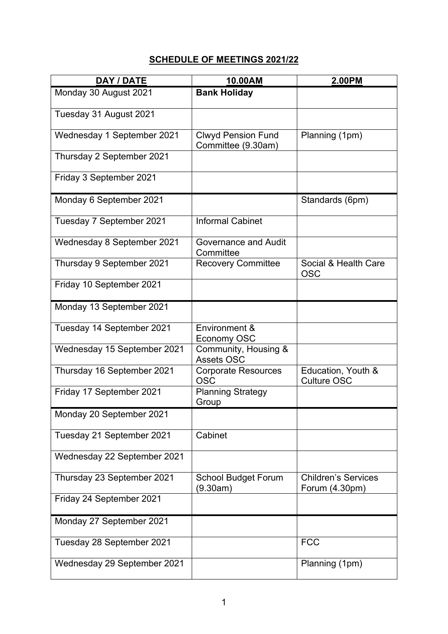## **SCHEDULE OF MEETINGS 2021/22**

| DAY / DATE                  | 10.00AM                                         | 2.00PM                                       |
|-----------------------------|-------------------------------------------------|----------------------------------------------|
| Monday 30 August 2021       | <b>Bank Holiday</b>                             |                                              |
| Tuesday 31 August 2021      |                                                 |                                              |
| Wednesday 1 September 2021  | <b>Clwyd Pension Fund</b><br>Committee (9.30am) | Planning (1pm)                               |
| Thursday 2 September 2021   |                                                 |                                              |
| Friday 3 September 2021     |                                                 |                                              |
| Monday 6 September 2021     |                                                 | Standards (6pm)                              |
| Tuesday 7 September 2021    | <b>Informal Cabinet</b>                         |                                              |
| Wednesday 8 September 2021  | <b>Governance and Audit</b><br>Committee        |                                              |
| Thursday 9 September 2021   | <b>Recovery Committee</b>                       | Social & Health Care<br><b>OSC</b>           |
| Friday 10 September 2021    |                                                 |                                              |
| Monday 13 September 2021    |                                                 |                                              |
| Tuesday 14 September 2021   | Environment &<br>Economy OSC                    |                                              |
| Wednesday 15 September 2021 | Community, Housing &<br><b>Assets OSC</b>       |                                              |
| Thursday 16 September 2021  | <b>Corporate Resources</b><br><b>OSC</b>        | Education, Youth &<br><b>Culture OSC</b>     |
| Friday 17 September 2021    | <b>Planning Strategy</b><br>Group               |                                              |
| Monday 20 September 2021    |                                                 |                                              |
| Tuesday 21 September 2021   | Cabinet                                         |                                              |
| Wednesday 22 September 2021 |                                                 |                                              |
| Thursday 23 September 2021  | <b>School Budget Forum</b><br>(9.30am)          | <b>Children's Services</b><br>Forum (4.30pm) |
| Friday 24 September 2021    |                                                 |                                              |
| Monday 27 September 2021    |                                                 |                                              |
| Tuesday 28 September 2021   |                                                 | <b>FCC</b>                                   |
| Wednesday 29 September 2021 |                                                 | Planning (1pm)                               |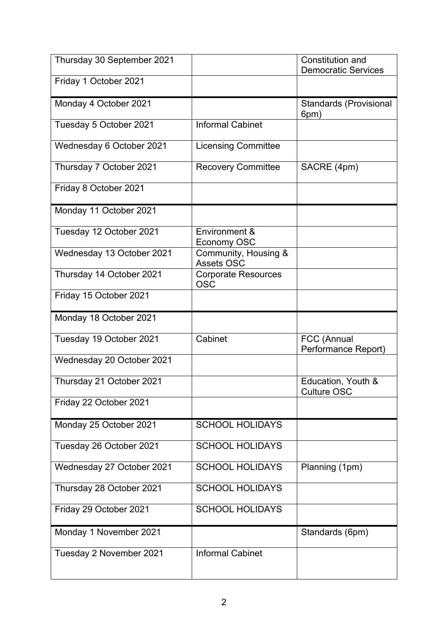| Thursday 30 September 2021 |                                          | <b>Constitution and</b><br><b>Democratic Services</b> |
|----------------------------|------------------------------------------|-------------------------------------------------------|
| Friday 1 October 2021      |                                          |                                                       |
| Monday 4 October 2021      |                                          | <b>Standards (Provisional</b><br>6pm)                 |
| Tuesday 5 October 2021     | <b>Informal Cabinet</b>                  |                                                       |
| Wednesday 6 October 2021   | <b>Licensing Committee</b>               |                                                       |
| Thursday 7 October 2021    | <b>Recovery Committee</b>                | SACRE (4pm)                                           |
| Friday 8 October 2021      |                                          |                                                       |
| Monday 11 October 2021     |                                          |                                                       |
| Tuesday 12 October 2021    | Environment &<br>Economy OSC             |                                                       |
| Wednesday 13 October 2021  | Community, Housing &<br>Assets OSC       |                                                       |
| Thursday 14 October 2021   | <b>Corporate Resources</b><br><b>OSC</b> |                                                       |
| Friday 15 October 2021     |                                          |                                                       |
| Monday 18 October 2021     |                                          |                                                       |
| Tuesday 19 October 2021    | Cabinet                                  | FCC (Annual<br>Performance Report)                    |
| Wednesday 20 October 2021  |                                          |                                                       |
| Thursday 21 October 2021   |                                          | Education, Youth &<br><b>Culture OSC</b>              |
| Friday 22 October 2021     |                                          |                                                       |
| Monday 25 October 2021     | <b>SCHOOL HOLIDAYS</b>                   |                                                       |
| Tuesday 26 October 2021    | <b>SCHOOL HOLIDAYS</b>                   |                                                       |
| Wednesday 27 October 2021  | <b>SCHOOL HOLIDAYS</b>                   | Planning (1pm)                                        |
| Thursday 28 October 2021   | <b>SCHOOL HOLIDAYS</b>                   |                                                       |
| Friday 29 October 2021     | <b>SCHOOL HOLIDAYS</b>                   |                                                       |
| Monday 1 November 2021     |                                          | Standards (6pm)                                       |
| Tuesday 2 November 2021    | <b>Informal Cabinet</b>                  |                                                       |
|                            |                                          |                                                       |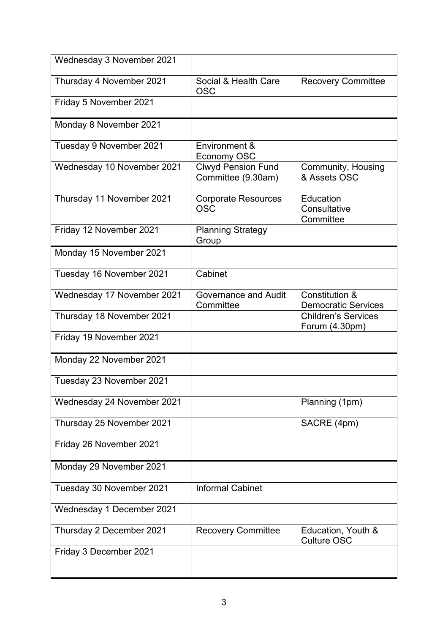| Wednesday 3 November 2021  |                                                 |                                              |
|----------------------------|-------------------------------------------------|----------------------------------------------|
| Thursday 4 November 2021   | Social & Health Care<br><b>OSC</b>              | <b>Recovery Committee</b>                    |
| Friday 5 November 2021     |                                                 |                                              |
| Monday 8 November 2021     |                                                 |                                              |
| Tuesday 9 November 2021    | Environment &<br>Economy OSC                    |                                              |
| Wednesday 10 November 2021 | <b>Clwyd Pension Fund</b><br>Committee (9.30am) | Community, Housing<br>& Assets OSC           |
| Thursday 11 November 2021  | <b>Corporate Resources</b><br><b>OSC</b>        | Education<br>Consultative<br>Committee       |
| Friday 12 November 2021    | <b>Planning Strategy</b><br>Group               |                                              |
| Monday 15 November 2021    |                                                 |                                              |
| Tuesday 16 November 2021   | Cabinet                                         |                                              |
| Wednesday 17 November 2021 | <b>Governance and Audit</b><br>Committee        | Constitution &<br><b>Democratic Services</b> |
| Thursday 18 November 2021  |                                                 | <b>Children's Services</b><br>Forum (4.30pm) |
| Friday 19 November 2021    |                                                 |                                              |
| Monday 22 November 2021    |                                                 |                                              |
| Tuesday 23 November 2021   |                                                 |                                              |
| Wednesday 24 November 2021 |                                                 | Planning (1pm)                               |
| Thursday 25 November 2021  |                                                 | SACRE (4pm)                                  |
| Friday 26 November 2021    |                                                 |                                              |
| Monday 29 November 2021    |                                                 |                                              |
| Tuesday 30 November 2021   | <b>Informal Cabinet</b>                         |                                              |
| Wednesday 1 December 2021  |                                                 |                                              |
| Thursday 2 December 2021   | <b>Recovery Committee</b>                       | Education, Youth &<br><b>Culture OSC</b>     |
| Friday 3 December 2021     |                                                 |                                              |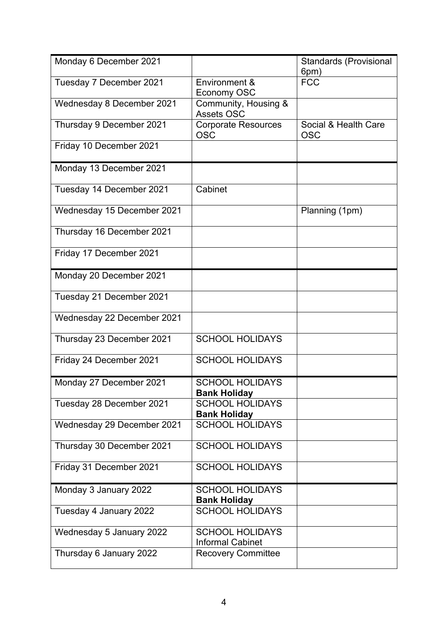| Monday 6 December 2021     |                                                   | <b>Standards (Provisional</b><br>6pm) |
|----------------------------|---------------------------------------------------|---------------------------------------|
| Tuesday 7 December 2021    | Environment &<br>Economy OSC                      | <b>FCC</b>                            |
| Wednesday 8 December 2021  | Community, Housing &<br><b>Assets OSC</b>         |                                       |
| Thursday 9 December 2021   | <b>Corporate Resources</b><br><b>OSC</b>          | Social & Health Care<br><b>OSC</b>    |
| Friday 10 December 2021    |                                                   |                                       |
| Monday 13 December 2021    |                                                   |                                       |
| Tuesday 14 December 2021   | Cabinet                                           |                                       |
| Wednesday 15 December 2021 |                                                   | Planning (1pm)                        |
| Thursday 16 December 2021  |                                                   |                                       |
| Friday 17 December 2021    |                                                   |                                       |
| Monday 20 December 2021    |                                                   |                                       |
| Tuesday 21 December 2021   |                                                   |                                       |
| Wednesday 22 December 2021 |                                                   |                                       |
| Thursday 23 December 2021  | <b>SCHOOL HOLIDAYS</b>                            |                                       |
| Friday 24 December 2021    | <b>SCHOOL HOLIDAYS</b>                            |                                       |
| Monday 27 December 2021    | <b>SCHOOL HOLIDAYS</b><br><b>Bank Holiday</b>     |                                       |
| Tuesday 28 December 2021   | <b>SCHOOL HOLIDAYS</b><br><b>Bank Holiday</b>     |                                       |
| Wednesday 29 December 2021 | <b>SCHOOL HOLIDAYS</b>                            |                                       |
| Thursday 30 December 2021  | <b>SCHOOL HOLIDAYS</b>                            |                                       |
| Friday 31 December 2021    | <b>SCHOOL HOLIDAYS</b>                            |                                       |
| Monday 3 January 2022      | <b>SCHOOL HOLIDAYS</b><br><b>Bank Holiday</b>     |                                       |
| Tuesday 4 January 2022     | <b>SCHOOL HOLIDAYS</b>                            |                                       |
| Wednesday 5 January 2022   | <b>SCHOOL HOLIDAYS</b><br><b>Informal Cabinet</b> |                                       |
| Thursday 6 January 2022    | <b>Recovery Committee</b>                         |                                       |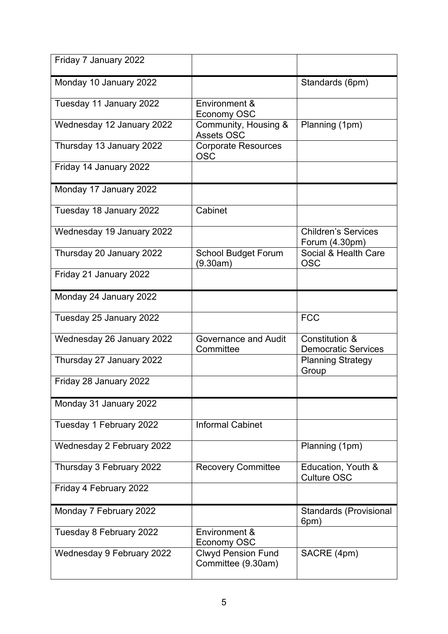| Friday 7 January 2022     |                                                 |                                              |
|---------------------------|-------------------------------------------------|----------------------------------------------|
| Monday 10 January 2022    |                                                 | Standards (6pm)                              |
| Tuesday 11 January 2022   | Environment &<br>Economy OSC                    |                                              |
| Wednesday 12 January 2022 | Community, Housing &<br><b>Assets OSC</b>       | Planning (1pm)                               |
| Thursday 13 January 2022  | <b>Corporate Resources</b><br><b>OSC</b>        |                                              |
| Friday 14 January 2022    |                                                 |                                              |
| Monday 17 January 2022    |                                                 |                                              |
| Tuesday 18 January 2022   | Cabinet                                         |                                              |
| Wednesday 19 January 2022 |                                                 | <b>Children's Services</b><br>Forum (4.30pm) |
| Thursday 20 January 2022  | <b>School Budget Forum</b><br>(9.30am)          | Social & Health Care<br><b>OSC</b>           |
| Friday 21 January 2022    |                                                 |                                              |
| Monday 24 January 2022    |                                                 |                                              |
| Tuesday 25 January 2022   |                                                 | <b>FCC</b>                                   |
| Wednesday 26 January 2022 | <b>Governance and Audit</b><br>Committee        | Constitution &<br><b>Democratic Services</b> |
| Thursday 27 January 2022  |                                                 | <b>Planning Strategy</b><br>Group            |
| Friday 28 January 2022    |                                                 |                                              |
| Monday 31 January 2022    |                                                 |                                              |
| Tuesday 1 February 2022   | <b>Informal Cabinet</b>                         |                                              |
| Wednesday 2 February 2022 |                                                 | Planning (1pm)                               |
| Thursday 3 February 2022  | <b>Recovery Committee</b>                       | Education, Youth &<br><b>Culture OSC</b>     |
| Friday 4 February 2022    |                                                 |                                              |
| Monday 7 February 2022    |                                                 | <b>Standards (Provisional</b><br>6pm)        |
| Tuesday 8 February 2022   | Environment &<br><b>Economy OSC</b>             |                                              |
| Wednesday 9 February 2022 | <b>Clwyd Pension Fund</b><br>Committee (9.30am) | SACRE (4pm)                                  |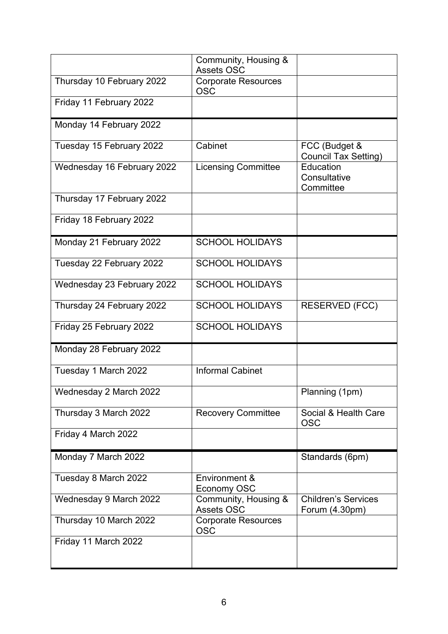|                            | Community, Housing &<br><b>Assets OSC</b> |                                              |
|----------------------------|-------------------------------------------|----------------------------------------------|
| Thursday 10 February 2022  | <b>Corporate Resources</b><br><b>OSC</b>  |                                              |
| Friday 11 February 2022    |                                           |                                              |
| Monday 14 February 2022    |                                           |                                              |
| Tuesday 15 February 2022   | Cabinet                                   | FCC (Budget &<br><b>Council Tax Setting)</b> |
| Wednesday 16 February 2022 | <b>Licensing Committee</b>                | Education<br>Consultative<br>Committee       |
| Thursday 17 February 2022  |                                           |                                              |
| Friday 18 February 2022    |                                           |                                              |
| Monday 21 February 2022    | <b>SCHOOL HOLIDAYS</b>                    |                                              |
| Tuesday 22 February 2022   | <b>SCHOOL HOLIDAYS</b>                    |                                              |
| Wednesday 23 February 2022 | <b>SCHOOL HOLIDAYS</b>                    |                                              |
| Thursday 24 February 2022  | <b>SCHOOL HOLIDAYS</b>                    | <b>RESERVED (FCC)</b>                        |
| Friday 25 February 2022    | <b>SCHOOL HOLIDAYS</b>                    |                                              |
| Monday 28 February 2022    |                                           |                                              |
| Tuesday 1 March 2022       | <b>Informal Cabinet</b>                   |                                              |
| Wednesday 2 March 2022     |                                           | Planning (1pm)                               |
| Thursday 3 March 2022      | <b>Recovery Committee</b>                 | Social & Health Care<br><b>OSC</b>           |
| Friday 4 March 2022        |                                           |                                              |
| Monday 7 March 2022        |                                           | Standards (6pm)                              |
| Tuesday 8 March 2022       | Environment &<br>Economy OSC              |                                              |
| Wednesday 9 March 2022     | Community, Housing &<br><b>Assets OSC</b> | <b>Children's Services</b><br>Forum (4.30pm) |
| Thursday 10 March 2022     | <b>Corporate Resources</b><br><b>OSC</b>  |                                              |
| Friday 11 March 2022       |                                           |                                              |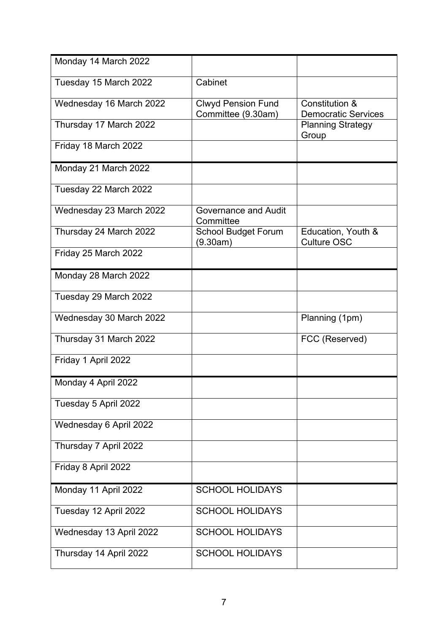| Monday 14 March 2022    |                                                 |                                                         |
|-------------------------|-------------------------------------------------|---------------------------------------------------------|
| Tuesday 15 March 2022   | Cabinet                                         |                                                         |
| Wednesday 16 March 2022 | <b>Clwyd Pension Fund</b><br>Committee (9.30am) | <b>Constitution &amp;</b><br><b>Democratic Services</b> |
| Thursday 17 March 2022  |                                                 | <b>Planning Strategy</b><br>Group                       |
| Friday 18 March 2022    |                                                 |                                                         |
| Monday 21 March 2022    |                                                 |                                                         |
| Tuesday 22 March 2022   |                                                 |                                                         |
| Wednesday 23 March 2022 | <b>Governance and Audit</b><br>Committee        |                                                         |
| Thursday 24 March 2022  | <b>School Budget Forum</b><br>(9.30am)          | Education, Youth &<br><b>Culture OSC</b>                |
| Friday 25 March 2022    |                                                 |                                                         |
| Monday 28 March 2022    |                                                 |                                                         |
| Tuesday 29 March 2022   |                                                 |                                                         |
| Wednesday 30 March 2022 |                                                 | Planning (1pm)                                          |
| Thursday 31 March 2022  |                                                 | FCC (Reserved)                                          |
| Friday 1 April 2022     |                                                 |                                                         |
| Monday 4 April 2022     |                                                 |                                                         |
| Tuesday 5 April 2022    |                                                 |                                                         |
| Wednesday 6 April 2022  |                                                 |                                                         |
| Thursday 7 April 2022   |                                                 |                                                         |
| Friday 8 April 2022     |                                                 |                                                         |
| Monday 11 April 2022    | <b>SCHOOL HOLIDAYS</b>                          |                                                         |
| Tuesday 12 April 2022   | <b>SCHOOL HOLIDAYS</b>                          |                                                         |
| Wednesday 13 April 2022 | <b>SCHOOL HOLIDAYS</b>                          |                                                         |
| Thursday 14 April 2022  | <b>SCHOOL HOLIDAYS</b>                          |                                                         |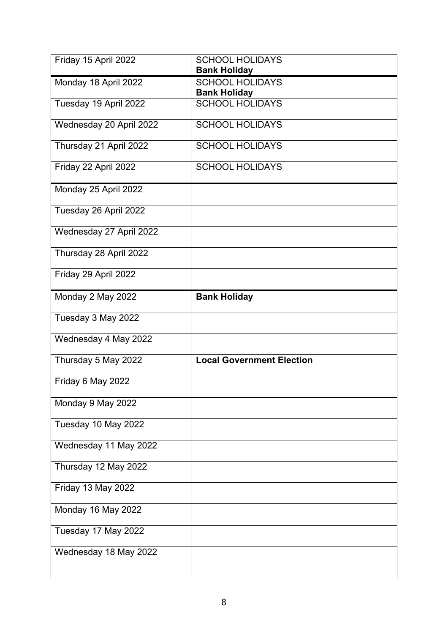| Friday 15 April 2022    | <b>SCHOOL HOLIDAYS</b><br><b>Bank Holiday</b> |  |
|-------------------------|-----------------------------------------------|--|
| Monday 18 April 2022    | <b>SCHOOL HOLIDAYS</b><br><b>Bank Holiday</b> |  |
| Tuesday 19 April 2022   | <b>SCHOOL HOLIDAYS</b>                        |  |
| Wednesday 20 April 2022 | <b>SCHOOL HOLIDAYS</b>                        |  |
| Thursday 21 April 2022  | <b>SCHOOL HOLIDAYS</b>                        |  |
| Friday 22 April 2022    | <b>SCHOOL HOLIDAYS</b>                        |  |
| Monday 25 April 2022    |                                               |  |
| Tuesday 26 April 2022   |                                               |  |
| Wednesday 27 April 2022 |                                               |  |
| Thursday 28 April 2022  |                                               |  |
| Friday 29 April 2022    |                                               |  |
| Monday 2 May 2022       | <b>Bank Holiday</b>                           |  |
| Tuesday 3 May 2022      |                                               |  |
| Wednesday 4 May 2022    |                                               |  |
| Thursday 5 May 2022     | <b>Local Government Election</b>              |  |
| Friday 6 May 2022       |                                               |  |
| Monday 9 May 2022       |                                               |  |
| Tuesday 10 May 2022     |                                               |  |
| Wednesday 11 May 2022   |                                               |  |
| Thursday 12 May 2022    |                                               |  |
| Friday 13 May 2022      |                                               |  |
| Monday 16 May 2022      |                                               |  |
| Tuesday 17 May 2022     |                                               |  |
| Wednesday 18 May 2022   |                                               |  |
|                         |                                               |  |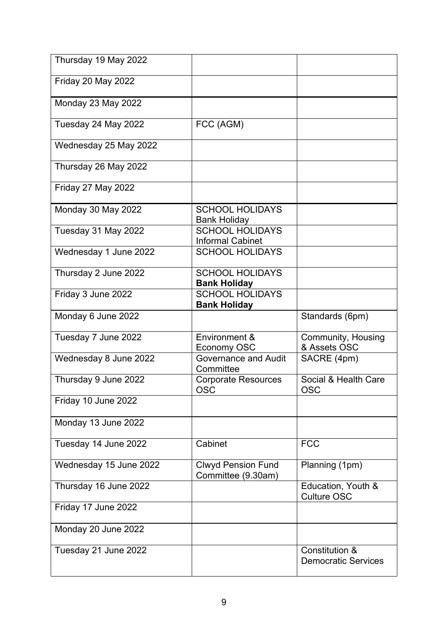| Thursday 19 May 2022   |                                                   |                                              |
|------------------------|---------------------------------------------------|----------------------------------------------|
| Friday 20 May 2022     |                                                   |                                              |
| Monday 23 May 2022     |                                                   |                                              |
| Tuesday 24 May 2022    | FCC (AGM)                                         |                                              |
| Wednesday 25 May 2022  |                                                   |                                              |
| Thursday 26 May 2022   |                                                   |                                              |
| Friday 27 May 2022     |                                                   |                                              |
| Monday 30 May 2022     | <b>SCHOOL HOLIDAYS</b><br><b>Bank Holiday</b>     |                                              |
| Tuesday 31 May 2022    | <b>SCHOOL HOLIDAYS</b><br><b>Informal Cabinet</b> |                                              |
| Wednesday 1 June 2022  | <b>SCHOOL HOLIDAYS</b>                            |                                              |
| Thursday 2 June 2022   | <b>SCHOOL HOLIDAYS</b><br><b>Bank Holiday</b>     |                                              |
| Friday 3 June 2022     | <b>SCHOOL HOLIDAYS</b><br><b>Bank Holiday</b>     |                                              |
| Monday 6 June 2022     |                                                   | Standards (6pm)                              |
| Tuesday 7 June 2022    | Environment &<br>Economy OSC                      | <b>Community, Housing</b><br>& Assets OSC    |
| Wednesday 8 June 2022  | <b>Governance and Audit</b><br>Committee          | SACRE (4pm)                                  |
| Thursday 9 June 2022   | <b>Corporate Resources</b><br><b>OSC</b>          | Social & Health Care<br><b>OSC</b>           |
| Friday 10 June 2022    |                                                   |                                              |
| Monday 13 June 2022    |                                                   |                                              |
| Tuesday 14 June 2022   | Cabinet                                           | <b>FCC</b>                                   |
| Wednesday 15 June 2022 | <b>Clwyd Pension Fund</b><br>Committee (9.30am)   | Planning (1pm)                               |
| Thursday 16 June 2022  |                                                   | Education, Youth &<br><b>Culture OSC</b>     |
| Friday 17 June 2022    |                                                   |                                              |
| Monday 20 June 2022    |                                                   |                                              |
| Tuesday 21 June 2022   |                                                   | Constitution &<br><b>Democratic Services</b> |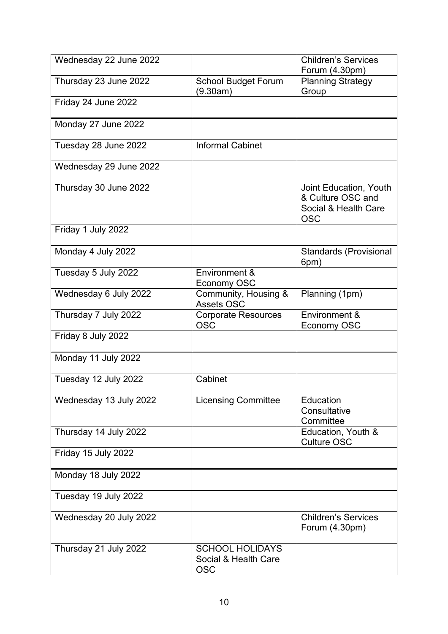| Wednesday 22 June 2022 |                                                              | <b>Children's Services</b><br>Forum (4.30pm)                                      |
|------------------------|--------------------------------------------------------------|-----------------------------------------------------------------------------------|
| Thursday 23 June 2022  | <b>School Budget Forum</b><br>(9.30am)                       | <b>Planning Strategy</b><br>Group                                                 |
| Friday 24 June 2022    |                                                              |                                                                                   |
| Monday 27 June 2022    |                                                              |                                                                                   |
| Tuesday 28 June 2022   | <b>Informal Cabinet</b>                                      |                                                                                   |
| Wednesday 29 June 2022 |                                                              |                                                                                   |
| Thursday 30 June 2022  |                                                              | Joint Education, Youth<br>& Culture OSC and<br>Social & Health Care<br><b>OSC</b> |
| Friday 1 July 2022     |                                                              |                                                                                   |
| Monday 4 July 2022     |                                                              | <b>Standards (Provisional</b><br>6pm)                                             |
| Tuesday 5 July 2022    | Environment &<br>Economy OSC                                 |                                                                                   |
| Wednesday 6 July 2022  | Community, Housing &<br><b>Assets OSC</b>                    | Planning (1pm)                                                                    |
| Thursday 7 July 2022   | <b>Corporate Resources</b><br><b>OSC</b>                     | Environment &<br><b>Economy OSC</b>                                               |
| Friday 8 July 2022     |                                                              |                                                                                   |
| Monday 11 July 2022    |                                                              |                                                                                   |
| Tuesday 12 July 2022   | Cabinet                                                      |                                                                                   |
| Wednesday 13 July 2022 | <b>Licensing Committee</b>                                   | Education<br>Consultative<br>Committee                                            |
| Thursday 14 July 2022  |                                                              | Education, Youth &<br><b>Culture OSC</b>                                          |
| Friday 15 July 2022    |                                                              |                                                                                   |
| Monday 18 July 2022    |                                                              |                                                                                   |
| Tuesday 19 July 2022   |                                                              |                                                                                   |
| Wednesday 20 July 2022 |                                                              | <b>Children's Services</b><br>Forum (4.30pm)                                      |
| Thursday 21 July 2022  | <b>SCHOOL HOLIDAYS</b><br>Social & Health Care<br><b>OSC</b> |                                                                                   |